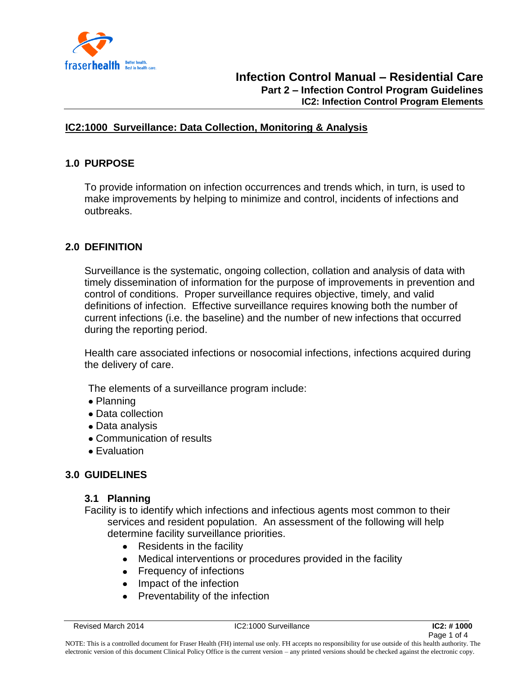

#### **IC2:1000 Surveillance: Data Collection, Monitoring & Analysis**

# **1.0 PURPOSE**

To provide information on infection occurrences and trends which, in turn, is used to make improvements by helping to minimize and control, incidents of infections and outbreaks.

# **2.0 DEFINITION**

Surveillance is the systematic, ongoing collection, collation and analysis of data with timely dissemination of information for the purpose of improvements in prevention and control of conditions. Proper surveillance requires objective, timely, and valid definitions of infection. Effective surveillance requires knowing both the number of current infections (i.e. the baseline) and the number of new infections that occurred during the reporting period.

Health care associated infections or nosocomial infections, infections acquired during the delivery of care.

The elements of a surveillance program include:

- Planning
- Data collection
- Data analysis
- Communication of results
- Evaluation

# **3.0 GUIDELINES**

#### **3.1 Planning**

Facility is to identify which infections and infectious agents most common to their services and resident population. An assessment of the following will help determine facility surveillance priorities.

- Residents in the facility
- Medical interventions or procedures provided in the facility
- Frequency of infections
- Impact of the infection
- Preventability of the infection $\bullet$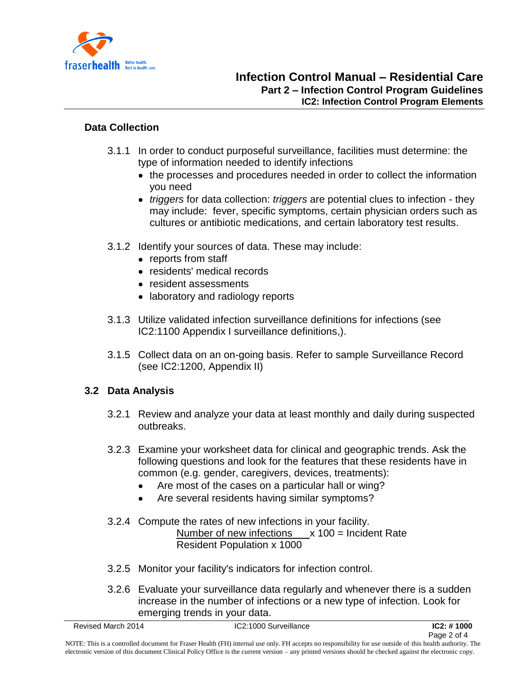

#### **Data Collection**

- 3.1.1 In order to conduct purposeful surveillance, facilities must determine: the type of information needed to identify infections
	- the processes and procedures needed in order to collect the information you need
	- *triggers* for data collection: *triggers* are potential clues to infection they may include: fever, specific symptoms, certain physician orders such as cultures or antibiotic medications, and certain laboratory test results.
- 3.1.2 Identify your sources of data. These may include:
	- reports from staff
	- residents' medical records
	- resident assessments
	- laboratory and radiology reports
- 3.1.3 Utilize validated infection surveillance definitions for infections (see IC2:1100 Appendix I surveillance definitions,).
- 3.1.5 Collect data on an on-going basis. Refer to sample Surveillance Record (see IC2:1200, Appendix II)

# **3.2 Data Analysis**

- 3.2.1 Review and analyze your data at least monthly and daily during suspected outbreaks.
- 3.2.3 Examine your worksheet data for clinical and geographic trends. Ask the following questions and look for the features that these residents have in common (e.g. gender, caregivers, devices, treatments):
	- $\bullet$ Are most of the cases on a particular hall or wing?
	- Are several residents having similar symptoms?  $\bullet$
- 3.2.4 Compute the rates of new infections in your facility. Number of new infections  $x$  100 = Incident Rate Resident Population x 1000
- 3.2.5 Monitor your facility's indicators for infection control.
- 3.2.6 Evaluate your surveillance data regularly and whenever there is a sudden increase in the number of infections or a new type of infection. Look for emerging trends in your data.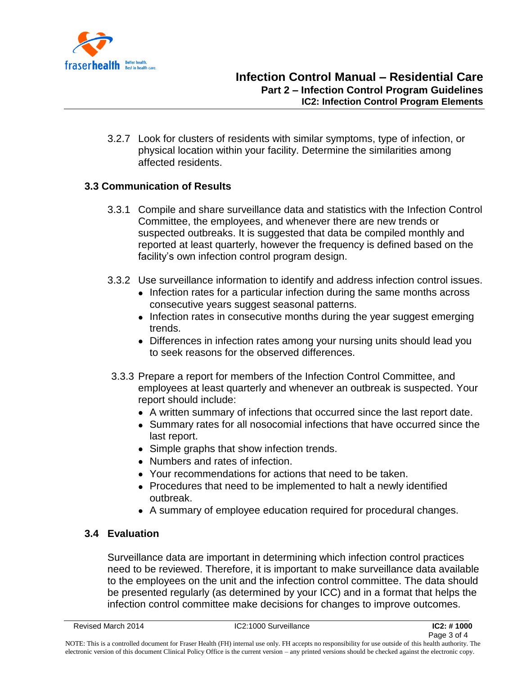

3.2.7 Look for clusters of residents with similar symptoms, type of infection, or physical location within your facility. Determine the similarities among affected residents.

#### **3.3 Communication of Results**

- 3.3.1 Compile and share surveillance data and statistics with the Infection Control Committee, the employees, and whenever there are new trends or suspected outbreaks. It is suggested that data be compiled monthly and reported at least quarterly, however the frequency is defined based on the facility's own infection control program design.
- 3.3.2 Use surveillance information to identify and address infection control issues.
	- Infection rates for a particular infection during the same months across consecutive years suggest seasonal patterns.
	- Infection rates in consecutive months during the year suggest emerging trends.
	- Differences in infection rates among your nursing units should lead you to seek reasons for the observed differences.
- 3.3.3 Prepare a report for members of the Infection Control Committee, and employees at least quarterly and whenever an outbreak is suspected. Your report should include:
	- A written summary of infections that occurred since the last report date.
	- Summary rates for all nosocomial infections that have occurred since the last report.
	- Simple graphs that show infection trends.
	- Numbers and rates of infection.
	- Your recommendations for actions that need to be taken.
	- Procedures that need to be implemented to halt a newly identified outbreak.
	- A summary of employee education required for procedural changes.

# **3.4 Evaluation**

Surveillance data are important in determining which infection control practices need to be reviewed. Therefore, it is important to make surveillance data available to the employees on the unit and the infection control committee. The data should be presented regularly (as determined by your ICC) and in a format that helps the infection control committee make decisions for changes to improve outcomes.

NOTE: This is a controlled document for Fraser Health (FH) internal use only. FH accepts no responsibility for use outside of this health authority. The electronic version of this document Clinical Policy Office is the current version – any printed versions should be checked against the electronic copy.